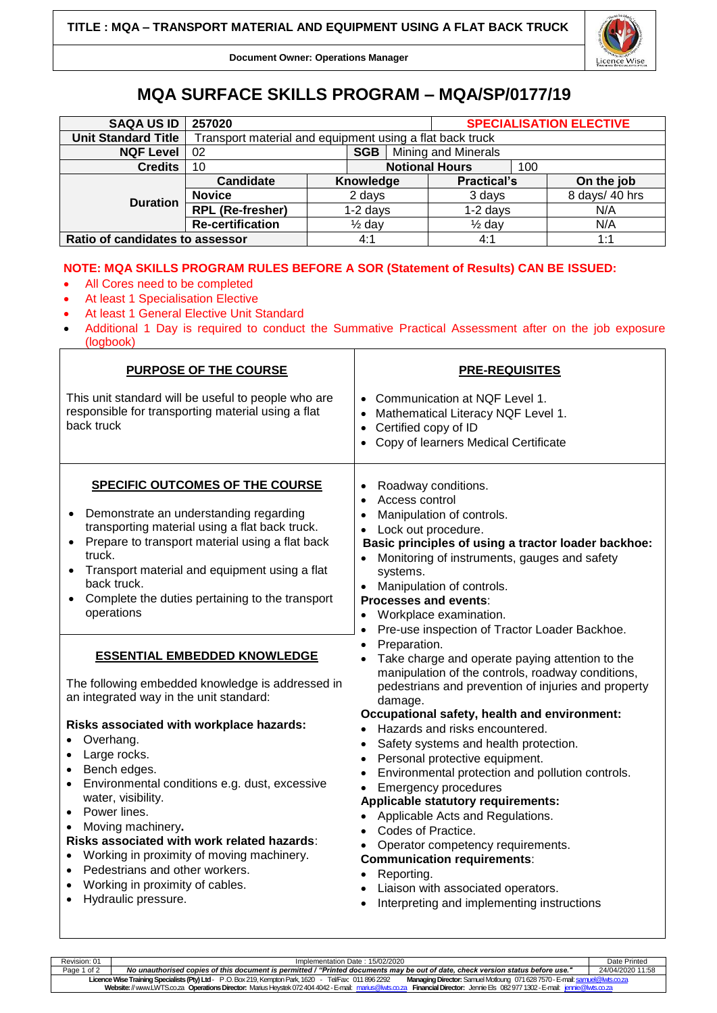

**Document Owner: Operations Manager**

## **MQA SURFACE SKILLS PROGRAM – MQA/SP/0177/19**

| <b>SAQA US ID</b>               | 257020                                                   |                   |                       |                            | <b>SPECIALISATION ELECTIVE</b> |                |            |  |
|---------------------------------|----------------------------------------------------------|-------------------|-----------------------|----------------------------|--------------------------------|----------------|------------|--|
| <b>Unit Standard Title</b>      | Transport material and equipment using a flat back truck |                   |                       |                            |                                |                |            |  |
| <b>NQF Level</b>                | <b>SGB</b><br>02                                         |                   |                       | <b>Mining and Minerals</b> |                                |                |            |  |
| <b>Credits</b>                  | 10                                                       |                   | <b>Notional Hours</b> |                            | 100                            |                |            |  |
| <b>Duration</b>                 | Candidate                                                |                   | Knowledge             |                            | <b>Practical's</b>             |                | On the job |  |
|                                 | <b>Novice</b>                                            | 2 days            |                       | 3 days                     |                                | 8 days/ 40 hrs |            |  |
|                                 | <b>RPL (Re-fresher)</b>                                  |                   | $1-2$ days            |                            | $1-2$ days                     |                | N/A        |  |
|                                 | <b>Re-certification</b>                                  | $\frac{1}{2}$ day |                       |                            | $\frac{1}{2}$ day              |                | N/A        |  |
| Ratio of candidates to assessor |                                                          |                   | 4:1                   |                            | 4:1                            |                | 1:1        |  |

## **NOTE: MQA SKILLS PROGRAM RULES BEFORE A SOR (Statement of Results) CAN BE ISSUED:**

- All Cores need to be completed
- At least 1 Specialisation Elective
- At least 1 General Elective Unit Standard
- Additional 1 Day is required to conduct the Summative Practical Assessment after on the job exposure (logbook)

| PURPOSE OF THE COURSE                                                                                                                                                                                                                                                                                                                                                                                                                                                                                                                                                                                                                                                                                                                                                                                                                                                                                                                                                         | <b>PRE-REQUISITES</b>                                                                                                                                                                                                                                                                                                                                                                                                                                                                                                                                                                                                                                                                                                                                                                                                                                                                                                                                                                                                                                                                                                                |  |  |  |  |
|-------------------------------------------------------------------------------------------------------------------------------------------------------------------------------------------------------------------------------------------------------------------------------------------------------------------------------------------------------------------------------------------------------------------------------------------------------------------------------------------------------------------------------------------------------------------------------------------------------------------------------------------------------------------------------------------------------------------------------------------------------------------------------------------------------------------------------------------------------------------------------------------------------------------------------------------------------------------------------|--------------------------------------------------------------------------------------------------------------------------------------------------------------------------------------------------------------------------------------------------------------------------------------------------------------------------------------------------------------------------------------------------------------------------------------------------------------------------------------------------------------------------------------------------------------------------------------------------------------------------------------------------------------------------------------------------------------------------------------------------------------------------------------------------------------------------------------------------------------------------------------------------------------------------------------------------------------------------------------------------------------------------------------------------------------------------------------------------------------------------------------|--|--|--|--|
| This unit standard will be useful to people who are<br>responsible for transporting material using a flat<br>back truck                                                                                                                                                                                                                                                                                                                                                                                                                                                                                                                                                                                                                                                                                                                                                                                                                                                       | • Communication at NQF Level 1.<br>Mathematical Literacy NQF Level 1.<br>Certified copy of ID<br>$\bullet$<br>Copy of learners Medical Certificate<br>$\bullet$                                                                                                                                                                                                                                                                                                                                                                                                                                                                                                                                                                                                                                                                                                                                                                                                                                                                                                                                                                      |  |  |  |  |
| <b>SPECIFIC OUTCOMES OF THE COURSE</b><br>Demonstrate an understanding regarding<br>transporting material using a flat back truck.<br>Prepare to transport material using a flat back<br>truck.<br>• Transport material and equipment using a flat<br>back truck.<br>Complete the duties pertaining to the transport<br>operations<br><b>ESSENTIAL EMBEDDED KNOWLEDGE</b><br>The following embedded knowledge is addressed in<br>an integrated way in the unit standard:<br>Risks associated with workplace hazards:<br>Overhang.<br>$\bullet$<br>Large rocks.<br>$\bullet$<br>Bench edges.<br>$\bullet$<br>Environmental conditions e.g. dust, excessive<br>$\bullet$<br>water, visibility.<br>Power lines.<br>$\bullet$<br>Moving machinery.<br>Risks associated with work related hazards:<br>Working in proximity of moving machinery.<br>$\bullet$<br>Pedestrians and other workers.<br>$\bullet$<br>Working in proximity of cables.<br>$\bullet$<br>Hydraulic pressure. | Roadway conditions.<br>Access control<br>$\bullet$<br>Manipulation of controls.<br>Lock out procedure.<br>Basic principles of using a tractor loader backhoe:<br>Monitoring of instruments, gauges and safety<br>systems.<br>Manipulation of controls.<br><b>Processes and events:</b><br>Workplace examination.<br>٠<br>Pre-use inspection of Tractor Loader Backhoe.<br>$\bullet$<br>Preparation.<br>Take charge and operate paying attention to the<br>manipulation of the controls, roadway conditions,<br>pedestrians and prevention of injuries and property<br>damage.<br>Occupational safety, health and environment:<br>Hazards and risks encountered.<br>Safety systems and health protection.<br>Personal protective equipment.<br>Environmental protection and pollution controls.<br><b>Emergency procedures</b><br>Applicable statutory requirements:<br>Applicable Acts and Regulations.<br>$\bullet$<br>Codes of Practice.<br>Operator competency requirements.<br><b>Communication requirements:</b><br>Reporting.<br>$\bullet$<br>Liaison with associated operators.<br>Interpreting and implementing instructions |  |  |  |  |

| Revision: 01                                                                                                                                                                                    | Implementation Date: 15/02/2020                                                                                                 |                  |  |  |  |  |
|-------------------------------------------------------------------------------------------------------------------------------------------------------------------------------------------------|---------------------------------------------------------------------------------------------------------------------------------|------------------|--|--|--|--|
| Page 1 of 2                                                                                                                                                                                     | No unauthorised copies of this document is permitted / "Printed documents may be out of date, check version status before use." | 24/04/2020 11:58 |  |  |  |  |
| Licence Wise Training Specialists (Pty) Ltd - P.O. Box 219, Kempton Park, 1620 - Tel/Fax: 011 896 2292<br>Managing Director: Samuel Motloung 071 628 7570 - E-mail: samuel@lwts.co.za           |                                                                                                                                 |                  |  |  |  |  |
| Website: // www.LWTS.co.za Operations Director: Marius Heystek 072 404 4042 - E-mail: marius@lwts.co.za<br><b>Financial Director:</b> Jennie Els 082977 1302 - E-mail: <i>jennie@lwts.co.za</i> |                                                                                                                                 |                  |  |  |  |  |
|                                                                                                                                                                                                 |                                                                                                                                 |                  |  |  |  |  |